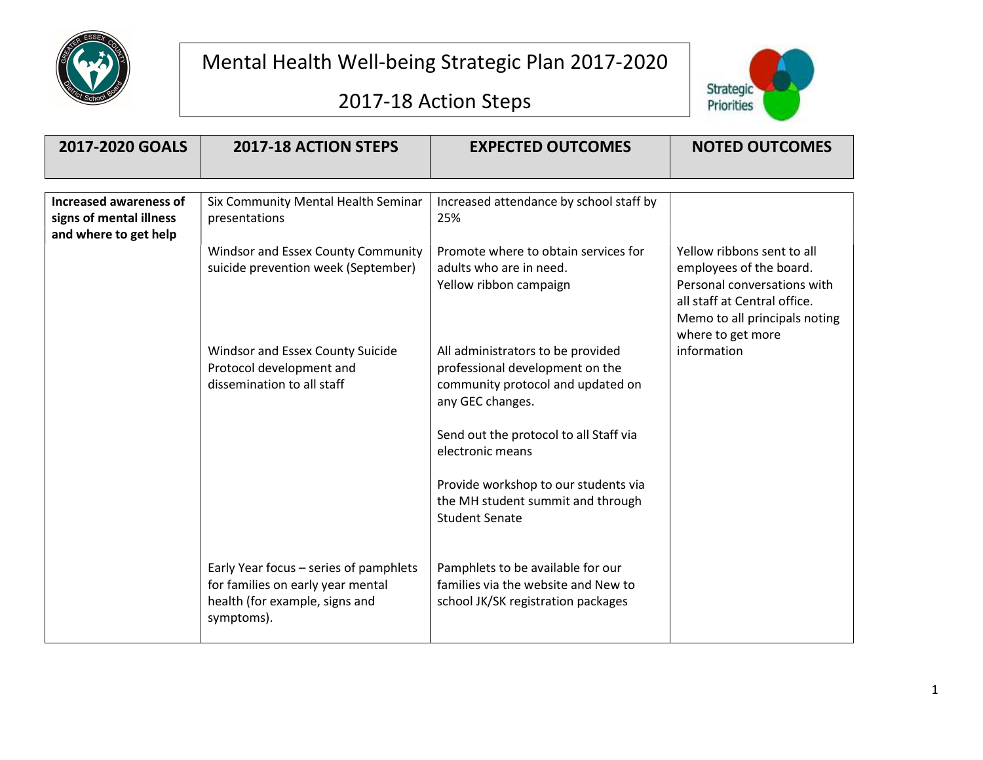

## 2017-18 Action Steps



| 2017-2020 GOALS                                                                   | 2017-18 ACTION STEPS                                                                                                                             | <b>EXPECTED OUTCOMES</b>                                                                                                                                                                                                  | <b>NOTED OUTCOMES</b>                                                                                                                                                                     |
|-----------------------------------------------------------------------------------|--------------------------------------------------------------------------------------------------------------------------------------------------|---------------------------------------------------------------------------------------------------------------------------------------------------------------------------------------------------------------------------|-------------------------------------------------------------------------------------------------------------------------------------------------------------------------------------------|
|                                                                                   |                                                                                                                                                  |                                                                                                                                                                                                                           |                                                                                                                                                                                           |
|                                                                                   |                                                                                                                                                  |                                                                                                                                                                                                                           |                                                                                                                                                                                           |
| <b>Increased awareness of</b><br>signs of mental illness<br>and where to get help | Six Community Mental Health Seminar<br>presentations                                                                                             | Increased attendance by school staff by<br>25%                                                                                                                                                                            |                                                                                                                                                                                           |
|                                                                                   | <b>Windsor and Essex County Community</b><br>suicide prevention week (September)<br>Windsor and Essex County Suicide<br>Protocol development and | Promote where to obtain services for<br>adults who are in need.<br>Yellow ribbon campaign<br>All administrators to be provided<br>professional development on the                                                         | Yellow ribbons sent to all<br>employees of the board.<br>Personal conversations with<br>all staff at Central office.<br>Memo to all principals noting<br>where to get more<br>information |
|                                                                                   | dissemination to all staff                                                                                                                       | community protocol and updated on<br>any GEC changes.<br>Send out the protocol to all Staff via<br>electronic means<br>Provide workshop to our students via<br>the MH student summit and through<br><b>Student Senate</b> |                                                                                                                                                                                           |
|                                                                                   | Early Year focus - series of pamphlets<br>for families on early year mental<br>health (for example, signs and<br>symptoms).                      | Pamphlets to be available for our<br>families via the website and New to<br>school JK/SK registration packages                                                                                                            |                                                                                                                                                                                           |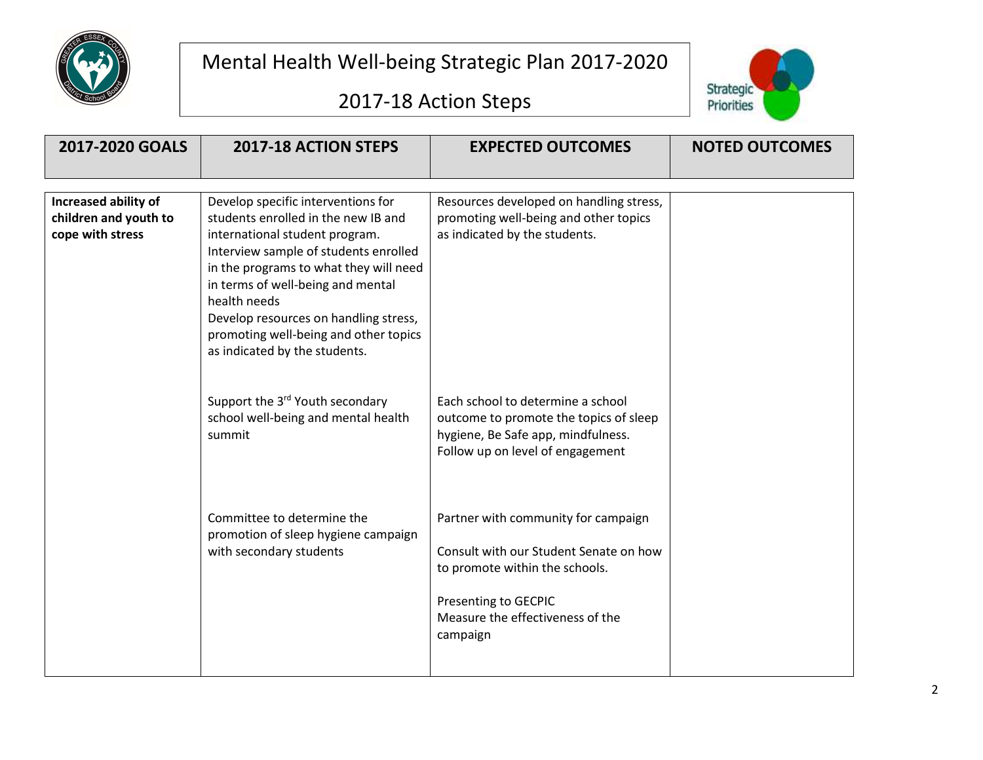





| 2017-2020 GOALS                                                   | <b>2017-18 ACTION STEPS</b>                                                                                                                                                                                                                                                                                                                                            | <b>EXPECTED OUTCOMES</b>                                                                                                                                                                | <b>NOTED OUTCOMES</b> |
|-------------------------------------------------------------------|------------------------------------------------------------------------------------------------------------------------------------------------------------------------------------------------------------------------------------------------------------------------------------------------------------------------------------------------------------------------|-----------------------------------------------------------------------------------------------------------------------------------------------------------------------------------------|-----------------------|
|                                                                   |                                                                                                                                                                                                                                                                                                                                                                        |                                                                                                                                                                                         |                       |
| Increased ability of<br>children and youth to<br>cope with stress | Develop specific interventions for<br>students enrolled in the new IB and<br>international student program.<br>Interview sample of students enrolled<br>in the programs to what they will need<br>in terms of well-being and mental<br>health needs<br>Develop resources on handling stress,<br>promoting well-being and other topics<br>as indicated by the students. | Resources developed on handling stress,<br>promoting well-being and other topics<br>as indicated by the students.                                                                       |                       |
|                                                                   | Support the 3 <sup>rd</sup> Youth secondary<br>school well-being and mental health<br>summit                                                                                                                                                                                                                                                                           | Each school to determine a school<br>outcome to promote the topics of sleep<br>hygiene, Be Safe app, mindfulness.<br>Follow up on level of engagement                                   |                       |
|                                                                   | Committee to determine the<br>promotion of sleep hygiene campaign<br>with secondary students                                                                                                                                                                                                                                                                           | Partner with community for campaign<br>Consult with our Student Senate on how<br>to promote within the schools.<br>Presenting to GECPIC<br>Measure the effectiveness of the<br>campaign |                       |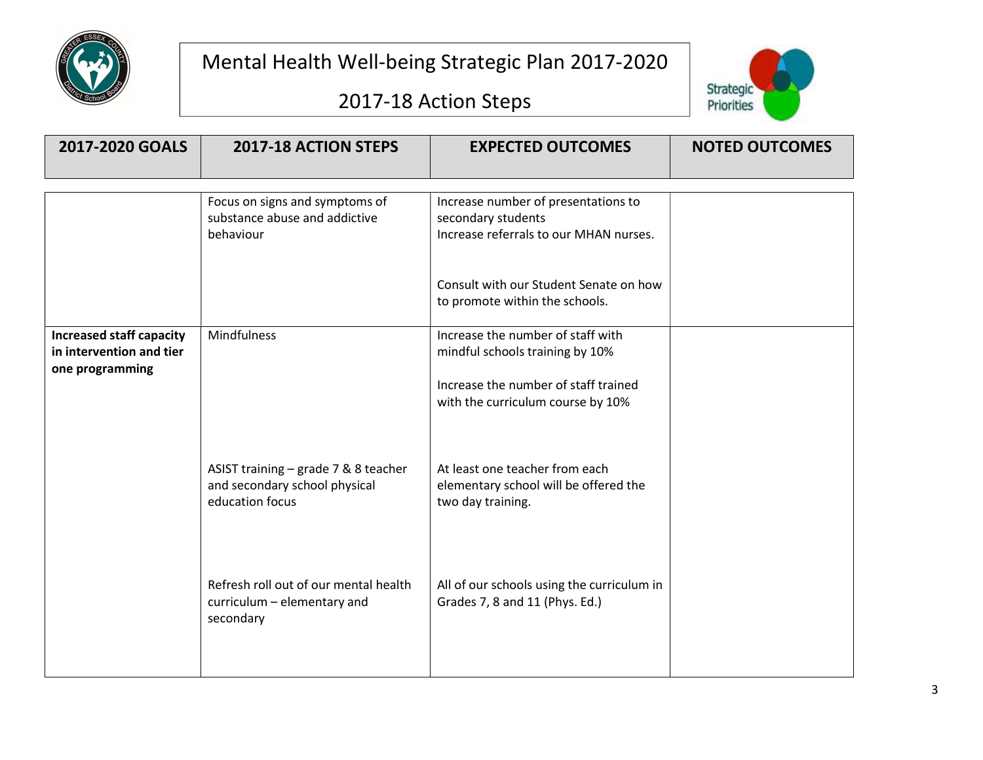

2017-18 Action Steps



| 2017-2020 GOALS                                                                | 2017-18 ACTION STEPS                                                                     | <b>EXPECTED OUTCOMES</b>                                                                                                                          | <b>NOTED OUTCOMES</b> |
|--------------------------------------------------------------------------------|------------------------------------------------------------------------------------------|---------------------------------------------------------------------------------------------------------------------------------------------------|-----------------------|
|                                                                                | Focus on signs and symptoms of<br>substance abuse and addictive<br>behaviour             | Increase number of presentations to<br>secondary students<br>Increase referrals to our MHAN nurses.                                               |                       |
|                                                                                |                                                                                          | Consult with our Student Senate on how<br>to promote within the schools.                                                                          |                       |
| <b>Increased staff capacity</b><br>in intervention and tier<br>one programming | Mindfulness                                                                              | Increase the number of staff with<br>mindful schools training by 10%<br>Increase the number of staff trained<br>with the curriculum course by 10% |                       |
|                                                                                | ASIST training - grade 7 & 8 teacher<br>and secondary school physical<br>education focus | At least one teacher from each<br>elementary school will be offered the<br>two day training.                                                      |                       |
|                                                                                | Refresh roll out of our mental health<br>curriculum - elementary and<br>secondary        | All of our schools using the curriculum in<br>Grades 7, 8 and 11 (Phys. Ed.)                                                                      |                       |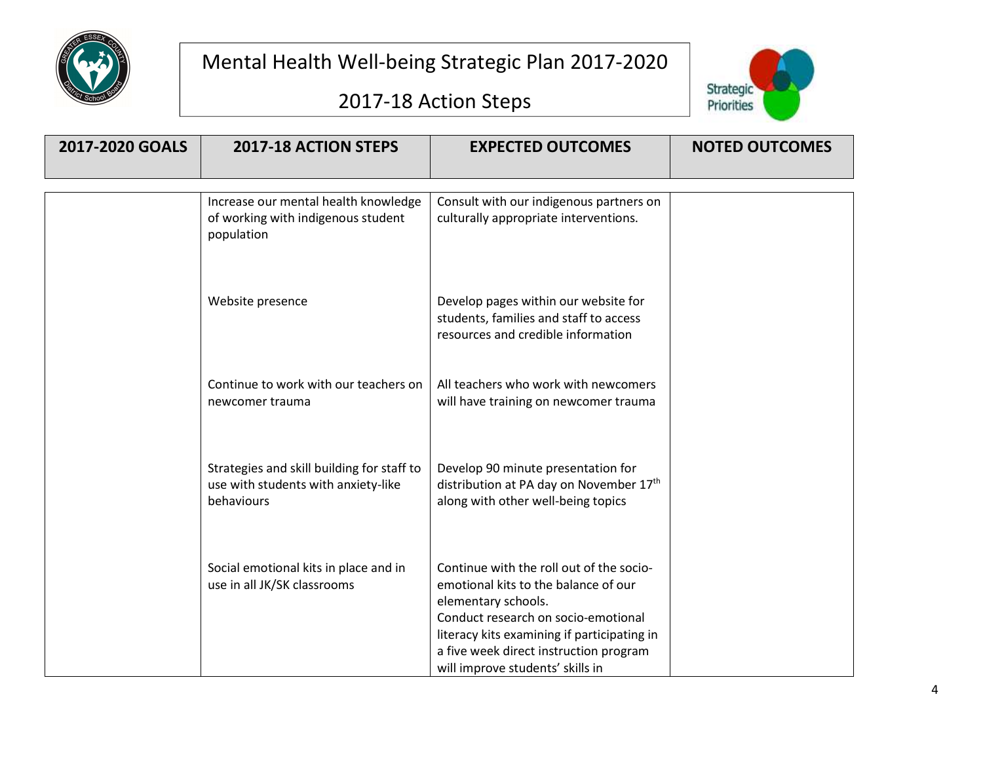





| 2017-2020 GOALS | 2017-18 ACTION STEPS                                                                            | <b>EXPECTED OUTCOMES</b>                                                                                                                                                                                                                                                    | <b>NOTED OUTCOMES</b> |
|-----------------|-------------------------------------------------------------------------------------------------|-----------------------------------------------------------------------------------------------------------------------------------------------------------------------------------------------------------------------------------------------------------------------------|-----------------------|
|                 | Increase our mental health knowledge<br>of working with indigenous student<br>population        | Consult with our indigenous partners on<br>culturally appropriate interventions.                                                                                                                                                                                            |                       |
|                 | Website presence                                                                                | Develop pages within our website for<br>students, families and staff to access<br>resources and credible information                                                                                                                                                        |                       |
|                 | Continue to work with our teachers on<br>newcomer trauma                                        | All teachers who work with newcomers<br>will have training on newcomer trauma                                                                                                                                                                                               |                       |
|                 | Strategies and skill building for staff to<br>use with students with anxiety-like<br>behaviours | Develop 90 minute presentation for<br>distribution at PA day on November 17th<br>along with other well-being topics                                                                                                                                                         |                       |
|                 | Social emotional kits in place and in<br>use in all JK/SK classrooms                            | Continue with the roll out of the socio-<br>emotional kits to the balance of our<br>elementary schools.<br>Conduct research on socio-emotional<br>literacy kits examining if participating in<br>a five week direct instruction program<br>will improve students' skills in |                       |